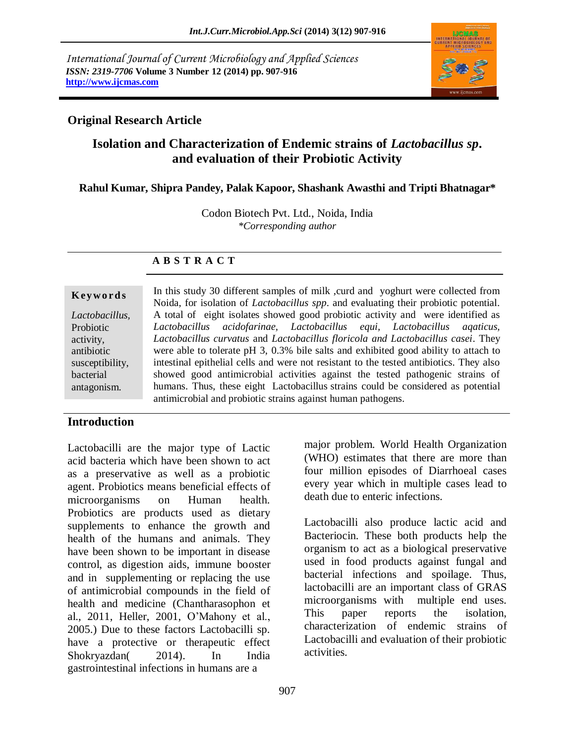*International Journal of Current Microbiology and Applied Sciences ISSN: 2319-7706* **Volume 3 Number 12 (2014) pp. 907-916 http://www.ijcmas.com** 



### **Original Research Article**

# **Isolation and Characterization of Endemic strains of** *Lactobacillus sp***. and evaluation of their Probiotic Activity**

#### **Rahul Kumar, Shipra Pandey, Palak Kapoor, Shashank Awasthi and Tripti Bhatnagar\***

Codon Biotech Pvt. Ltd., Noida, India *\*Corresponding author* 

#### **A B S T R A C T**

#### **K ey w o rd s**

*Lactobacillus,*  Probiotic activity, antibiotic susceptibility, bacterial antagonism.

In this study 30 different samples of milk , curd and yoghurt were collected from Noida, for isolation of *Lactobacillus spp*. and evaluating their probiotic potential. A total of eight isolates showed good probiotic activity and were identified as *Lactobacillus acidofarinae, Lactobacillus equi, Lactobacillus aqaticus, Lactobacillus curvatus* and *Lactobacillus floricola and Lactobacillus casei*. They were able to tolerate pH 3, 0.3% bile salts and exhibited good ability to attach to intestinal epithelial cells and were not resistant to the tested antibiotics. They also showed good antimicrobial activities against the tested pathogenic strains of humans. Thus, these eight Lactobacillus strains could be considered as potential antimicrobial and probiotic strains against human pathogens.

#### **Introduction**

Lactobacilli are the major type of Lactic acid bacteria which have been shown to act as a preservative as well as a probiotic agent. Probiotics means beneficial effects of microorganisms on Human health. Probiotics are products used as dietary supplements to enhance the growth and health of the humans and animals. They have been shown to be important in disease control, as digestion aids, immune booster and in supplementing or replacing the use of antimicrobial compounds in the field of health and medicine [\(Chantharasophon et](http://scialert.net/fulltext/?doi=ijp.2013.92.97#891968_ja)  [al., 2011,](http://scialert.net/fulltext/?doi=ijp.2013.92.97#891968_ja) [Heller, 2001,](http://scialert.net/fulltext/?doi=ijp.2013.92.97#253446_ja) [O'Mahony et al.,](http://scialert.net/fulltext/?doi=ijp.2013.92.97#547310_ja) [2005.](http://scialert.net/fulltext/?doi=ijp.2013.92.97#547310_ja)) Due to these factors Lactobacilli sp. have a protective or therapeutic effect Shokryazdan( 2014). In India gastrointestinal infections in humans are a

major problem. World Health Organization (WHO) estimates that there are more than four million episodes of Diarrhoeal cases every year which in multiple cases lead to death due to enteric infections.

Lactobacilli also produce lactic acid and Bacteriocin. These both products help the organism to act as a biological preservative used in food products against fungal and bacterial infections and spoilage. Thus, lactobacilli are an important class of GRAS microorganisms with multiple end uses. This paper reports the isolation, characterization of endemic strains of Lactobacilli and evaluation of their probiotic activities.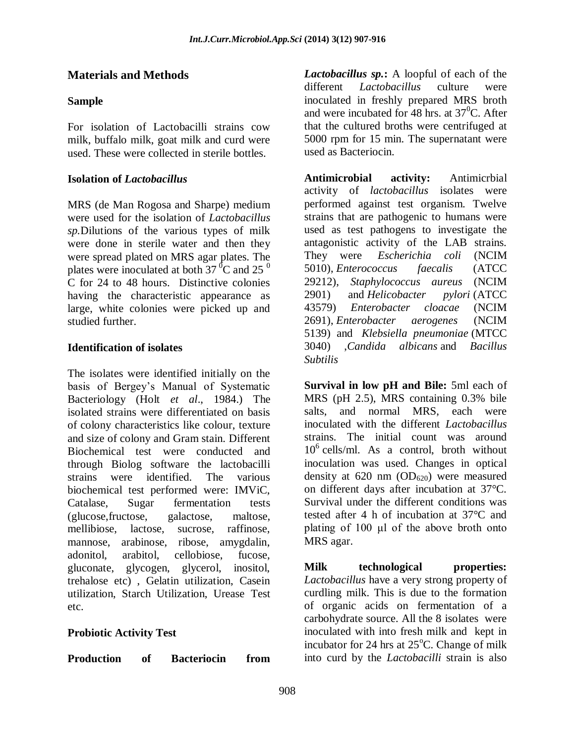# **Materials and Methods**

## **Sample**

For isolation of Lactobacilli strains cow milk, buffalo milk, goat milk and curd were used. These were collected in sterile bottles.

### **Isolation of** *Lactobacillus*

MRS (de Man Rogosa and Sharpe) medium were used for the isolation of *Lactobacillus sp.*Dilutions of the various types of milk were done in sterile water and then they were spread plated on MRS agar plates. The plates were inoculated at both 37 $\mathrm{^{0}C}$  and 25 $\mathrm{^{0}}$ C for 24 to 48 hours. Distinctive colonies having the characteristic appearance as large, white colonies were picked up and studied further.

#### **Identification of isolates**

The isolates were identified initially on the basis of Bergey's Manual of Systematic Bacteriology (Holt *et al*., 1984.) The isolated strains were differentiated on basis of colony characteristics like colour, texture and size of colony and Gram stain. Different Biochemical test were conducted and through Biolog software the lactobacilli strains were identified. The various biochemical test performed were: IMViC, Catalase, Sugar fermentation tests (glucose,fructose, galactose, maltose, mellibiose, lactose, sucrose, raffinose, mannose, arabinose, ribose, amygdalin, adonitol, arabitol, cellobiose, fucose, gluconate, glycogen, glycerol, inositol, trehalose etc) , Gelatin utilization, Casein utilization, Starch Utilization, Urease Test etc.

### **Probiotic Activity Test**

**Production of Bacteriocin from** 

*Lactobacillus sp.***:** A loopful of each of the different *Lactobacillus* culture were inoculated in freshly prepared MRS broth and were incubated for 48 hrs. at  $37^{\circ}$ C. After that the cultured broths were centrifuged at 5000 rpm for 15 min. The supernatant were used as Bacteriocin.

**Antimicrobial activity:** Antimicrbial activity of *lactobacillus* isolates were performed against test organism. Twelve strains that are pathogenic to humans were used as test pathogens to investigate the antagonistic activity of the LAB strains. They were *Escherichia coli* (NCIM 5010), *Enterococcus faecalis* (ATCC 29212), *Staphylococcus aureus* (NCIM 2901) and *Helicobacter pylori* (ATCC 43579) *Enterobacter cloacae* (NCIM 2691), *Enterobacter aerogenes* (NCIM 5139) and *Klebsiella pneumoniae* (MTCC 3040) ,*Candida albicans* and *Bacillus Subtilis*

**Survival in low pH and Bile:** 5ml each of MRS (pH 2.5), MRS containing 0.3% bile salts, and normal MRS, each were inoculated with the different *Lactobacillus* strains. The initial count was around 10<sup>6</sup> cells/ml. As a control, broth without inoculation was used. Changes in optical density at  $620 \text{ nm}$  ( $OD_{620}$ ) were measured on different days after incubation at 37°C. Survival under the different conditions was tested after 4 h of incubation at 37°C and plating of 100 μl of the above broth onto MRS agar.

**Milk technological properties:**  *Lactobacillus* have a very strong property of curdling milk. This is due to the formation of organic acids on fermentation of a carbohydrate source. All the 8 isolates were inoculated with into fresh milk and kept in incubator for 24 hrs at  $25^{\circ}$ C. Change of milk into curd by the *Lactobacilli* strain is also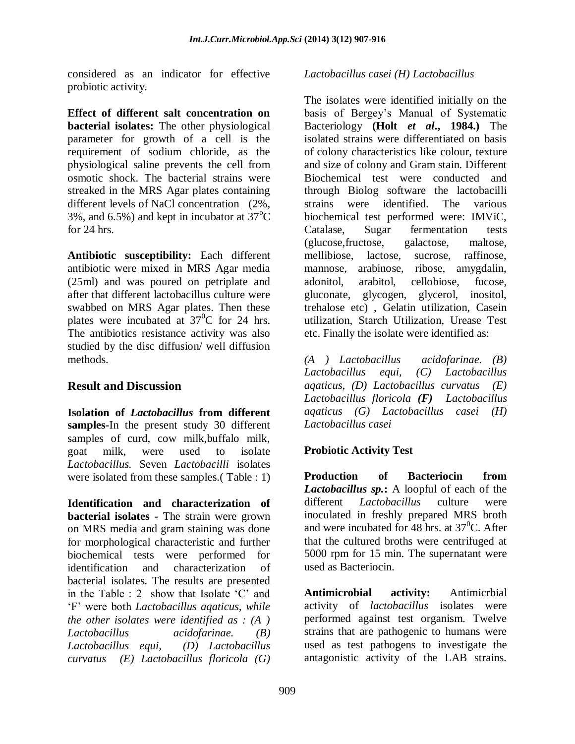considered as an indicator for effective probiotic activity.

**Effect of different salt concentration on bacterial isolates:** The other physiological parameter for growth of a cell is the requirement of sodium chloride, as the physiological saline prevents the cell from osmotic shock. The bacterial strains were streaked in the MRS Agar plates containing different levels of NaCl concentration (2%, 3%, and 6.5%) and kept in incubator at  $37^{\circ}$ C for 24 hrs.

**Antibiotic susceptibility:** Each different antibiotic were mixed in MRS Agar media (25ml) and was poured on petriplate and after that different lactobacillus culture were swabbed on MRS Agar plates. Then these plates were incubated at  $37^0C$  for 24 hrs. The antibiotics resistance activity was also studied by the disc diffusion/ well diffusion methods.

### **Result and Discussion**

**Isolation of** *Lactobacillus* **from different samples-**In the present study 30 different samples of curd, cow milk,buffalo milk, goat milk, were used to isolate *Lactobacillus.* Seven *Lactobacilli* isolates were isolated from these samples.( Table : 1)

**Identification and characterization of bacterial isolates -** The strain were grown on MRS media and gram staining was done for morphological characteristic and further biochemical tests were performed for identification and characterization of bacterial isolates. The results are presented in the Table : 2 show that Isolate 'C' and 'F' were both *Lactobacillus aqaticus, while the other isolates were identified as : (A ) Lactobacillus acidofarinae. (B) Lactobacillus equi, (D) Lactobacillus curvatus (E) Lactobacillus floricola (G)* 

#### *Lactobacillus casei (H) Lactobacillus*

The isolates were identified initially on the basis of Bergey's Manual of Systematic Bacteriology **(Holt** *et al***., 1984.)** The isolated strains were differentiated on basis of colony characteristics like colour, texture and size of colony and Gram stain. Different Biochemical test were conducted and through Biolog software the lactobacilli strains were identified. The various biochemical test performed were: IMViC, Catalase, Sugar fermentation tests (glucose,fructose, galactose, maltose, mellibiose, lactose, sucrose, raffinose, mannose, arabinose, ribose, amygdalin, adonitol, arabitol, cellobiose, fucose, gluconate, glycogen, glycerol, inositol, trehalose etc) , Gelatin utilization, Casein utilization, Starch Utilization, Urease Test etc. Finally the isolate were identified as:

*(A ) Lactobacillus acidofarinae. (B) Lactobacillus equi, (C) Lactobacillus aqaticus, (D) Lactobacillus curvatus (E) Lactobacillus floricola (F) Lactobacillus aqaticus (G) Lactobacillus casei (H) Lactobacillus casei*

### **Probiotic Activity Test**

**Production of Bacteriocin from**  *Lactobacillus sp.***:** A loopful of each of the different *Lactobacillus* culture were inoculated in freshly prepared MRS broth and were incubated for 48 hrs. at  $37^{\circ}$ C. After that the cultured broths were centrifuged at 5000 rpm for 15 min. The supernatant were used as Bacteriocin.

**Antimicrobial activity:** Antimicrbial activity of *lactobacillus* isolates were performed against test organism. Twelve strains that are pathogenic to humans were used as test pathogens to investigate the antagonistic activity of the LAB strains.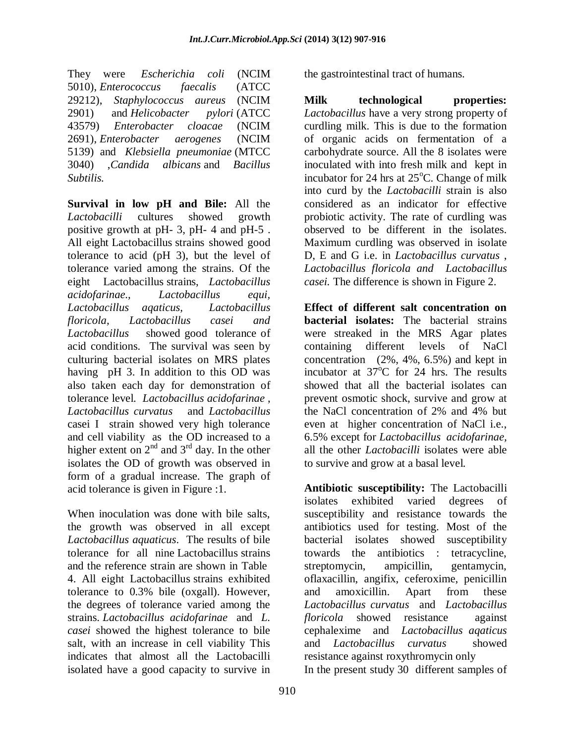They were *Escherichia coli* (NCIM 5010), *Enterococcus faecalis* (ATCC 29212), *Staphylococcus aureus* (NCIM 2901) and *Helicobacter pylori* (ATCC 43579) *Enterobacter cloacae* (NCIM 2691), *Enterobacter aerogenes* (NCIM 5139) and *Klebsiella pneumoniae* (MTCC 3040) ,*Candida albicans* and *Bacillus Subtilis.*

**Survival in low pH and Bile:** All the *Lactobacilli* cultures showed growth positive growth at pH- 3, pH- 4 and pH-5 . All eight Lactobacillus strains showed good tolerance to acid (pH 3), but the level of tolerance varied among the strains. Of the eight Lactobacillus strains, *Lactobacillus acidofarinae., Lactobacillus equi, Lactobacillus aqaticus, Lactobacillus floricola, Lactobacillus casei and Lactobacillus* showed good tolerance of acid conditions. The survival was seen by culturing bacterial isolates on MRS plates having pH 3. In addition to this OD was also taken each day for demonstration of tolerance level. *Lactobacillus acidofarinae* , *Lactobacillus curvatus* and *Lactobacillus* casei I strain showed very high tolerance and cell viability as the OD increased to a higher extent on  $2^{nd}$  and  $3^{rd}$  day. In the other isolates the OD of growth was observed in form of a gradual increase. The graph of acid tolerance is given in Figure :1.

When inoculation was done with bile salts, the growth was observed in all except *Lactobacillus aquaticus*. The results of bile tolerance for all nine Lactobacillus strains and the reference strain are shown in Table 4. All eight Lactobacillus strains exhibited tolerance to 0.3% bile (oxgall). However, the degrees of tolerance varied among the strains. *Lactobacillus acidofarinae* and *L. casei* showed the highest tolerance to bile salt, with an increase in cell viability This indicates that almost all the Lactobacilli isolated have a good capacity to survive in

the gastrointestinal tract of humans.

**Milk technological properties:**  *Lactobacillus* have a very strong property of curdling milk. This is due to the formation of organic acids on fermentation of a carbohydrate source. All the 8 isolates were inoculated with into fresh milk and kept in incubator for 24 hrs at  $25^{\circ}$ C. Change of milk into curd by the *Lactobacilli* strain is also considered as an indicator for effective probiotic activity. The rate of curdling was observed to be different in the isolates. Maximum curdling was observed in isolate D, E and G i.e. in *Lactobacillus curvatus* , *Lactobacillus floricola and Lactobacillus casei.* The difference is shown in Figure 2.

**Effect of different salt concentration on bacterial isolates:** The bacterial strains were streaked in the MRS Agar plates containing different levels of NaCl concentration (2%, 4%, 6.5%) and kept in incubator at  $37^{\circ}$ C for 24 hrs. The results showed that all the bacterial isolates can prevent osmotic shock, survive and grow at the NaCl concentration of 2% and 4% but even at higher concentration of NaCl i.e., 6.5% except for *Lactobacillus acidofarinae,*  all the other *Lactobacilli* isolates were able to survive and grow at a basal level*.* 

**Antibiotic susceptibility:** The Lactobacilli isolates exhibited varied degrees of susceptibility and resistance towards the antibiotics used for testing. Most of the bacterial isolates showed susceptibility towards the antibiotics : tetracycline, streptomycin, ampicillin, gentamycin, oflaxacillin, angifix, ceferoxime, penicillin and amoxicillin. Apart from these *Lactobacillus curvatus* and *Lactobacillus floricola* showed resistanceagainst cephalexime and *Lactobacillus aqaticus* and *Lactobacillus curvatus* showed resistance against roxythromycin only In the present study 30 different samples of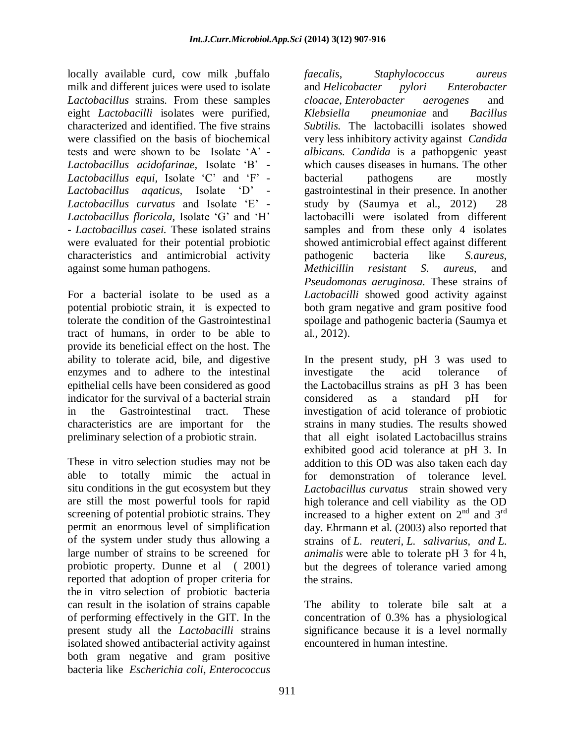locally available curd, cow milk ,buffalo milk and different juices were used to isolate *Lactobacillus* strains*.* From these samples eight *Lactobacilli* isolates were purified, characterized and identified. The five strains were classified on the basis of biochemical tests and were shown to be Isolate 'A' - *Lactobacillus acidofarinae,* Isolate 'B' - *Lactobacillus equi,* Isolate 'C' and 'F' - *Lactobacillus aqaticus,* Isolate 'D' - *Lactobacillus curvatus* and Isolate 'E' - *Lactobacillus floricola,* Isolate 'G' and 'H' - *Lactobacillus casei.* These isolated strains were evaluated for their potential probiotic characteristics and antimicrobial activity against some human pathogens.

For a bacterial isolate to be used as a potential probiotic strain, it is expected to tolerate the condition of the Gastrointestinal tract of humans, in order to be able to provide its beneficial effect on the host. The ability to tolerate acid, bile, and digestive enzymes and to adhere to the intestinal epithelial cells have been considered as good indicator for the survival of a bacterial strain in the Gastrointestinal tract. These characteristics are are important for the preliminary selection of a probiotic strain.

These in vitro selection studies may not be able to totally mimic the actual in situ conditions in the gut ecosystem but they are still the most powerful tools for rapid screening of potential probiotic strains. They permit an enormous level of simplification of the system under study thus allowing a large number of strains to be screened for probiotic property. Dunne et al ( 2001) reported that adoption of proper criteria for the in vitro selection of probiotic bacteria can result in the isolation of strains capable of performing effectively in the GIT. In the present study all the *Lactobacilli* strains isolated showed antibacterial activity against both gram negative and gram positive bacteria like *Escherichia coli*, *Enterococcus* 

*faecalis*, *Staphylococcus aureus* and *Helicobacter pylori Enterobacter cloacae*, *Enterobacter aerogenes* and *Klebsiella pneumoniae* and *Bacillus Subtilis.* The lactobacilli isolates showed very less inhibitory activity against *Candida albicans. Candida* is a pathopgenic yeast which causes diseases in humans. The other bacterial pathogens are mostly gastrointestinal in their presence. In another study by (Saumya et al., 2012) 28 lactobacilli were isolated from different samples and from these only 4 isolates showed antimicrobial effect against different pathogenic bacteria like *S.aureus, Methicillin resistant S. aureus,* and *Pseudomonas aeruginosa.* These strains of *Lactobacilli* showed good activity against both gram negative and gram positive food spoilage and pathogenic bacteria (Saumya et al., 2012).

In the present study, pH 3 was used to investigate the acid tolerance of the Lactobacillus strains as pH 3 has been considered as a standard pH for investigation of acid tolerance of probiotic strains in many studies. The results showed that all eight isolated Lactobacillus strains exhibited good acid tolerance at pH 3. In addition to this OD was also taken each day for demonstration of tolerance level. *Lactobacillus curvatus* strain showed very high tolerance and cell viability as the OD increased to a higher extent on  $2<sup>nd</sup>$  and  $3<sup>rd</sup>$ day. Ehrmann et al. (2003) also reported that strains of *L. reuteri, L. salivarius, and L. animalis* were able to tolerate pH 3 for 4 h, but the degrees of tolerance varied among the strains.

The ability to tolerate bile salt at a concentration of 0.3% has a physiological significance because it is a level normally encountered in human intestine.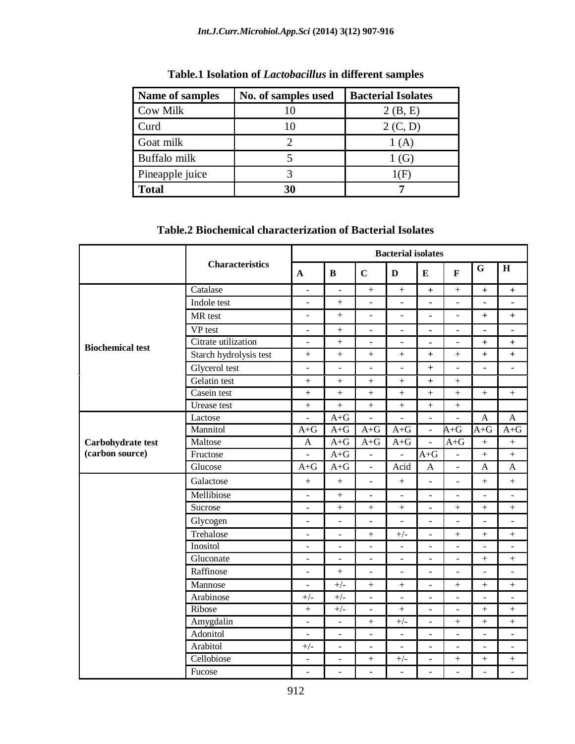| Name of samples | No. of samples used | <b>Bacterial Isolates</b> |
|-----------------|---------------------|---------------------------|
| <b>Cow Milk</b> | 10                  | 2(B, E)                   |
| Curd            | 10                  | 2 (C, D)                  |
| Goat milk       |                     | 1 (A)                     |
| Buffalo milk    |                     | 1 (G)                     |
| Pineapple juice |                     | (H                        |
| <b>Total</b>    | 30                  |                           |

# **Table.1 Isolation of** *Lactobacillus* **in different samples**

# **Table.2 Biochemical characterization of Bacterial Isolates**

|                         |                        | <b>Bacterial isolates</b> |                              |                                  |                              |                              |                          |                          |                          |
|-------------------------|------------------------|---------------------------|------------------------------|----------------------------------|------------------------------|------------------------------|--------------------------|--------------------------|--------------------------|
|                         | <b>Characteristics</b> | $\mathbf{A}$              | $\bf{B}$                     | $\mathbf C$                      | D                            | ${\bf E}$                    | $\mathbf{F}$             | G                        | $\mathbf H$              |
|                         | Catalase               | $\blacksquare$            | $\blacksquare$               |                                  | $\! + \!$                    | $+$                          | $^{+}$                   | $\ddot{}$                | $+$                      |
|                         | Indole test            | $\overline{\phantom{a}}$  | $\! + \!$                    | ÷,                               | ÷,                           | $\blacksquare$               | $\blacksquare$           | ä,                       | ä,                       |
|                         | MR test                | $\equiv$                  | $^{+}$                       | ÷,                               | ÷,                           | ä,                           | $\overline{a}$           | $\ddot{}$                | $+$                      |
|                         | VP test                | $\blacksquare$            | $^{+}$                       | $\overline{a}$                   | $\overline{\phantom{a}}$     | $\blacksquare$               | ä,                       | $\blacksquare$           | ä,                       |
| <b>Biochemical test</b> | Citrate utilization    | $\sim$                    | $+$                          | ÷,                               | $\overline{\phantom{a}}$     | $\blacksquare$               | $\overline{\phantom{a}}$ | $\ddot{}$                | $+$                      |
|                         | Starch hydrolysis test | $^{+}$                    | $^{+}$                       | $^{+}$                           | $^{+}$                       | $\ddot{}$                    | $^{+}$                   | $^{+}$                   | $\ddot{}$                |
|                         | Glycerol test          | $\Box$                    | $\overline{a}$               | ÷,                               | ÷,                           | $^{+}$                       | $\Box$                   | ä,                       | $\blacksquare$           |
|                         | Gelatin test           | $^{+}$                    | $^{+}$                       |                                  | $^{+}$                       | $^{+}$                       | $\boldsymbol{+}$         |                          |                          |
|                         | Casein test            | $^{+}$                    | $\ddot{}$                    | $+$                              | $+$                          | $\ddot{}$                    | $+$                      | $\! +$                   | $^{+}$                   |
|                         | <b>Urease</b> test     | $\ddot{}$                 | $\ddot{}$                    | $\ddot{}$                        | $\ddot{}$                    | $\boldsymbol{+}$             | $\qquad \qquad +$        |                          |                          |
|                         | Lactose                | $\overline{a}$            | $A + G$                      | $\overline{a}$                   |                              | $\overline{a}$               |                          | $\mathbf{A}$             | $\mathbf{A}$             |
|                         | Mannitol               | $A + G$                   | $A + G$                      | $A + G$                          | $A + G$                      | ÷,                           | $A + G$                  | $A + G$                  | $A + G$                  |
| Carbohydrate test       | Maltose                | $\mathbf{A}$              | $A + G$                      | $\mathrm{A} \text{+} \mathrm{G}$ | $\rm A{+}G$                  | $\qquad \qquad \blacksquare$ | $A + G$                  | $\boldsymbol{+}$         | $\boldsymbol{+}$         |
| (carbon source)         | Fructose               | $\equiv$                  | $A + G$                      | $\Box$                           | $\blacksquare$               | $A + G$                      | $\overline{\phantom{a}}$ |                          | $^{+}$                   |
|                         | Glucose                | $A + G$                   | $A + G$                      | $\frac{1}{2}$                    | Acid                         | $\mathbf{A}$                 | $\overline{\phantom{a}}$ | $\mathbf{A}$             | $\overline{A}$           |
|                         | Galactose              | $+$                       | $+$                          | $\overline{\phantom{a}}$         | $+$                          | $\overline{a}$               | $\overline{a}$           | $+$                      | $^{+}$                   |
|                         | Mellibiose             | $\Box$                    | $^{+}$                       | ÷,                               | $\bar{\phantom{a}}$          | ÷,                           | $\overline{a}$           | $\sim$                   | ÷.                       |
|                         | Sucrose                | $\equiv$                  | $\ddot{}$                    |                                  | $\boldsymbol{+}$             | $\Box$                       | $\qquad \qquad +$        | $\qquad \qquad +$        | $\qquad \qquad +$        |
|                         | Glycogen               | $\overline{\phantom{a}}$  | ÷,                           | $\overline{a}$                   | $\blacksquare$               | $\overline{\phantom{a}}$     | $\overline{a}$           | $\overline{a}$           | $\overline{\phantom{0}}$ |
|                         | Trehalose              | $\overline{a}$            | ÷                            | $^{+}$                           | $+/-$                        | ÷,                           | $^{+}$                   | $+$                      | $^{+}$                   |
|                         | Inositol               | $\blacksquare$            | $\blacksquare$               | ÷,                               | $\sim$                       | $\blacksquare$               | $\blacksquare$           | $\overline{a}$           | ÷.                       |
|                         | Gluconate              | $\qquad \qquad -$         | $\qquad \qquad \blacksquare$ | ÷,                               | $\qquad \qquad \blacksquare$ | $\blacksquare$               | $\blacksquare$           | $\! + \!$                | $\boldsymbol{+}$         |
|                         | Raffinose              | ÷,                        | $\ddot{}$                    | $\overline{\phantom{a}}$         | $\blacksquare$               | $\Box$                       | $\overline{\phantom{a}}$ | ÷,                       | ÷,                       |
|                         | Mannose                | $\frac{1}{2}$             | $+/-$                        | $\ddot{}$                        | $\ddot{}$                    | $\overline{a}$               | $^{+}$                   | $^{+}$                   | $^{+}$                   |
|                         | Arabinose              | $+/-$                     | $+/-$                        | $\overline{\phantom{a}}$         |                              | $\overline{\phantom{a}}$     | $\overline{a}$           |                          |                          |
|                         | Ribose                 | $\ddot{}$                 | $+/-$                        | ÷,                               | $^{+}$                       | $\overline{\phantom{a}}$     | $\overline{a}$           | $+$                      | $^{+}$                   |
|                         | Amygdalin              | $\overline{\phantom{a}}$  | $\overline{\phantom{a}}$     | $^{+}$                           | $+/-$                        | $\overline{\phantom{a}}$     | $^{+}$                   | $+$                      | $\! + \!$                |
|                         | Adonitol               | $\overline{\phantom{a}}$  | $\blacksquare$               | ÷,                               | ÷,                           | $\overline{\phantom{a}}$     | $\frac{1}{2}$            | $\overline{\phantom{a}}$ | $\blacksquare$           |
|                         | Arabitol               | $+/-$                     | $\frac{1}{2}$                | ÷,                               | $\blacksquare$               | $\equiv$                     | $\blacksquare$           | $\bar{\phantom{a}}$      | $\equiv$                 |
|                         | Cellobiose             | $\Box$                    | $\overline{\phantom{a}}$     |                                  | $+/-$                        | $\frac{1}{2}$                | $^{+}$                   | $^{+}$                   | $\! + \!$                |
|                         | Fucose                 | $\overline{\phantom{a}}$  | ÷,                           | ÷,                               | $\overline{\phantom{a}}$     | ÷,                           | $\blacksquare$           | $\overline{\phantom{a}}$ | ÷,                       |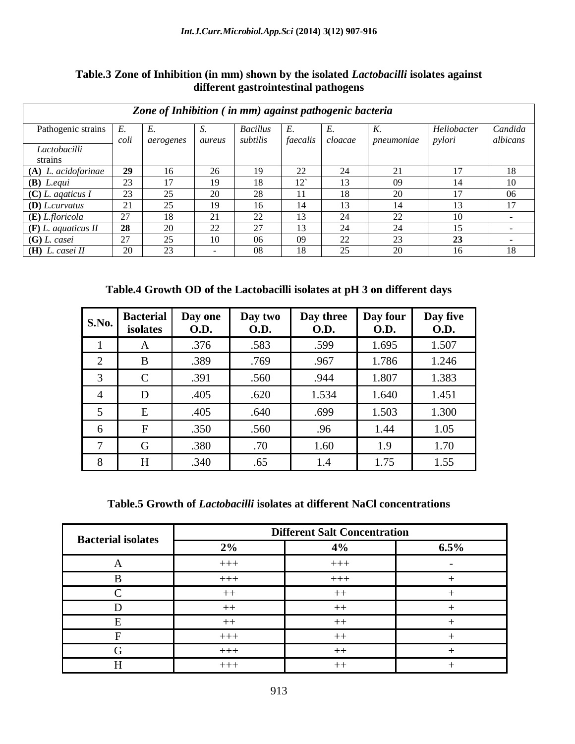| Table.3 Zone of Inhibition (in mm) shown by the isolated <i>Lactobacilli</i> isolates against |
|-----------------------------------------------------------------------------------------------|
| different gastrointestinal pathogens                                                          |

| Zone of Inhibition (in mm) against pathogenic bacteria |            |                 |              |                             |                |               |                  |                       |                     |
|--------------------------------------------------------|------------|-----------------|--------------|-----------------------------|----------------|---------------|------------------|-----------------------|---------------------|
| Pathogenic strains                                     | E.<br>coli | E.<br>aerogenes | S.<br>aureus | <b>Bacillus</b><br>subtilis | E.<br>faecalis | E.<br>cloacae | K.<br>pneumoniae | Heliobacter<br>pylori | Candida<br>albicans |
| Lactobacilli<br>strains                                |            |                 |              |                             |                |               |                  |                       |                     |
| $(A)$ <i>L. acidofarinae</i>                           | 29         | 16              | 26           | 19                          | 22             | 24            | 21               | 17                    | 18                  |
| $(B)$ <i>L.equi</i>                                    | 23         | 17              | 19           | 18                          | 12             | 13            | 09               | 14                    | 10                  |
| $(C)$ L. agaticus I                                    | 23         | 25              | 20           | 28                          |                | 18            | 20               | 17                    | 06                  |
| $(D)$ <i>L.curvatus</i>                                | 21         | 25              | 19           | 16                          | 14             | 13            | 14               | 13                    | 17                  |
| $(E)$ <i>L.floricola</i>                               | 27         | 18              | 21           | 22                          | 13             | 24            | 22               | 10                    |                     |
| $(F)$ L. aquaticus II                                  | 28         | 20              | 22           | 27                          | 13             | 24            | 24               | 15                    |                     |
| $(G)$ L. casei                                         | 27         | 25              | 10           | 06                          | 09             | 22            | 23               | 23                    |                     |
| $(H)$ L. casei II                                      | 20         | 23              | -            | 08                          | 18             | 25            | 20               | 16                    | 18                  |

# **Table.4 Growth OD of the Lactobacilli isolates at pH 3 on different days**

| S.No.          | <b>Bacterial</b><br>isolates | Day one<br>O.D. | Day two<br><b>O.D.</b> | Day three<br><b>O.D.</b> | Day four<br><b>O.D.</b> | Day five<br><b>O.D.</b> |
|----------------|------------------------------|-----------------|------------------------|--------------------------|-------------------------|-------------------------|
|                | A                            | .376            | .583                   | .599                     | 1.695                   | 1.507                   |
| $\overline{2}$ | B                            | .389            | .769                   | .967                     | 1.786                   | 1.246                   |
| 3              | $\mathcal{C}$                | .391            | .560                   | .944                     | 1.807                   | 1.383                   |
| $\overline{4}$ | D                            | .405            | .620                   | 1.534                    | 1.640                   | 1.451                   |
| 5              | E                            | .405            | .640                   | .699                     | 1.503                   | 1.300                   |
| 6              | $\mathbf{F}$                 | .350            | .560                   | .96                      | 1.44                    | 1.05                    |
| 7              | G                            | .380            | .70                    | 1.60                     | 1.9                     | 1.70                    |
| 8              | H                            | .340            | .65                    | 1.4                      | 1.75                    | 1.55                    |

#### **Table.5 Growth of** *Lactobacilli* **isolates at different NaCl concentrations**

| <b>Bacterial isolates</b> | <b>Different Salt Concentration</b> |       |      |  |  |  |  |
|---------------------------|-------------------------------------|-------|------|--|--|--|--|
|                           | 2%                                  | 4%    | 6.5% |  |  |  |  |
|                           | $+++$                               | $+++$ |      |  |  |  |  |
| R                         | $+++$                               | $+++$ |      |  |  |  |  |
|                           | $++$                                | $++$  |      |  |  |  |  |
|                           | $++$                                | $++$  |      |  |  |  |  |
|                           | $++$                                | $++$  |      |  |  |  |  |
|                           | $+++$                               | $++$  |      |  |  |  |  |
|                           | $+++$                               | $++$  |      |  |  |  |  |
|                           | $+++$                               | $++$  |      |  |  |  |  |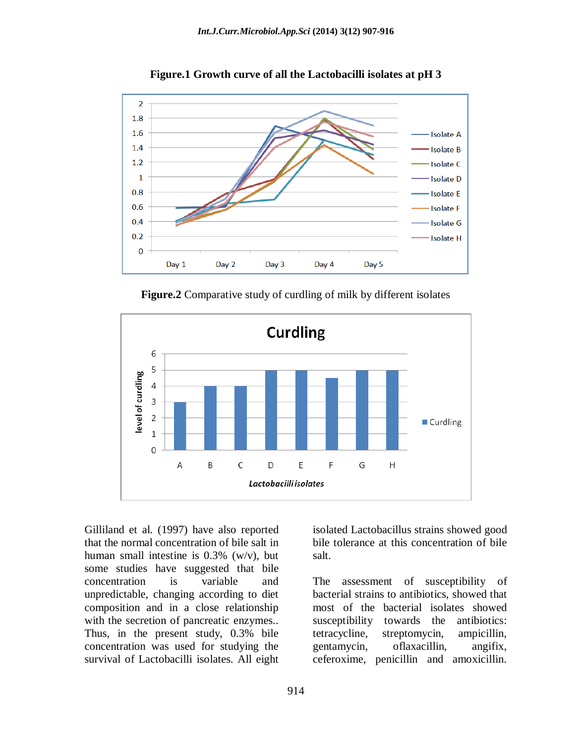

**Figure.1 Growth curve of all the Lactobacilli isolates at pH 3**

**Figure.2** Comparative study of curdling of milk by different isolates



Gilliland et al. (1997) have also reported that the normal concentration of bile salt in human small intestine is 0.3% (w/v), but some studies have suggested that bile concentration is variable and unpredictable, changing according to diet composition and in a close relationship with the secretion of pancreatic enzymes.. Thus, in the present study, 0.3% bile concentration was used for studying the survival of Lactobacilli isolates. All eight

isolated Lactobacillus strains showed good bile tolerance at this concentration of bile salt.

The assessment of susceptibility of bacterial strains to antibiotics, showed that most of the bacterial isolates showed susceptibility towards the antibiotics: tetracycline, streptomycin, ampicillin, gentamycin, oflaxacillin, angifix, ceferoxime, penicillin and amoxicillin.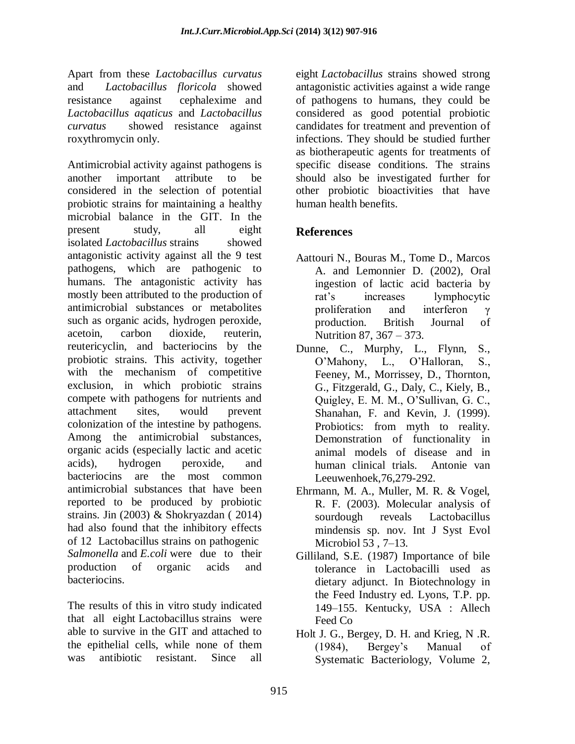Apart from these *Lactobacillus curvatus*  and *Lactobacillus floricola* showed resistanceagainst cephalexime and *Lactobacillus aqaticus* and *Lactobacillus curvatus* showed resistance against roxythromycin only.

Antimicrobial activity against pathogens is another important attribute to be considered in the selection of potential probiotic strains for maintaining a healthy microbial balance in the GIT. In the present study, all eight isolated *Lactobacillus* strains showed antagonistic activity against all the 9 test pathogens, which are pathogenic to humans. The antagonistic activity has mostly been attributed to the production of antimicrobial substances or metabolites such as organic acids, hydrogen peroxide, acetoin, carbon dioxide, reuterin, reutericyclin, and bacteriocins by the probiotic strains. This activity, together with the mechanism of competitive exclusion, in which probiotic strains compete with pathogens for nutrients and attachment sites, would prevent colonization of the intestine by pathogens. Among the antimicrobial substances, organic acids (especially lactic and acetic acids), hydrogen peroxide, and bacteriocins are the most common antimicrobial substances that have been reported to be produced by probiotic strains. Jin (2003) & Shokryazdan ( 2014) had also found that the inhibitory effects of 12 Lactobacillus strains on pathogenic *Salmonella* and *E.coli* were due to their production of organic acids and bacteriocins.

The results of this in vitro study indicated that all eight Lactobacillus strains were able to survive in the GIT and attached to the epithelial cells, while none of them was antibiotic resistant. Since all

eight *Lactobacillus* strains showed strong antagonistic activities against a wide range of pathogens to humans, they could be considered as good potential probiotic candidates for treatment and prevention of infections. They should be studied further as biotherapeutic agents for treatments of specific disease conditions. The strains should also be investigated further for other probiotic bioactivities that have human health benefits.

# **References**

- Aattouri N., Bouras M., Tome D., Marcos A. and Lemonnier D. (2002), Oral ingestion of lactic acid bacteria by rat's increases lymphocytic proliferation and interferon γ production. British Journal of Nutrition 87, 367 – 373.
- Dunne, C., Murphy, L., Flynn, S., O'Mahony, L., O'Halloran, S., Feeney, M., Morrissey, D., Thornton, G., Fitzgerald, G., Daly, C., Kiely, B., Quigley, E. M. M., O'Sullivan, G. C., Shanahan, F. and Kevin, J. (1999). Probiotics: from myth to reality. Demonstration of functionality in animal models of disease and in human clinical trials. Antonie van Leeuwenhoek,76,279-292.
- Ehrmann, M. A., Muller, M. R. & Vogel, R. F. (2003). Molecular analysis of sourdough reveals Lactobacillus mindensis sp. nov. Int J Syst Evol Microbiol 53 , 7–13.
- Gilliland, S.E. (1987) Importance of bile tolerance in Lactobacilli used as dietary adjunct. In Biotechnology in the Feed Industry ed. Lyons, T.P. pp. 149–155. Kentucky, USA : Allech Feed Co
- Holt J. G., Bergey, D. H. and Krieg, N .R. (1984), Bergey's Manual of Systematic Bacteriology, Volume 2,